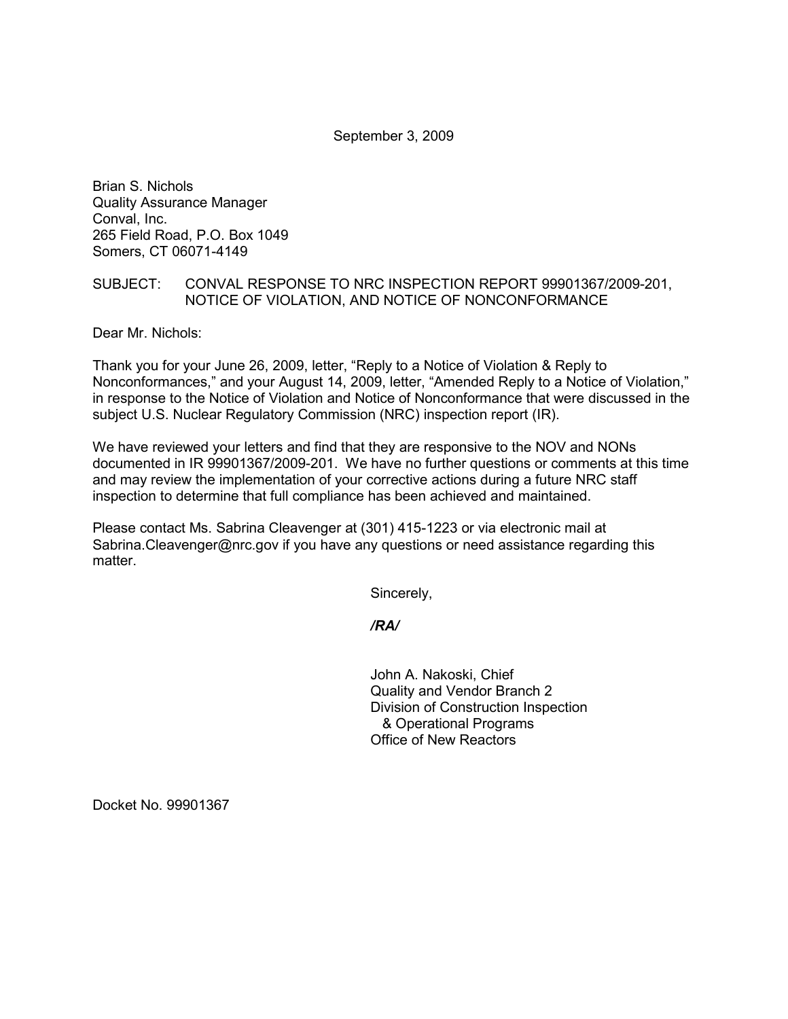September 3, 2009

Brian S. Nichols Quality Assurance Manager Conval, Inc. 265 Field Road, P.O. Box 1049 Somers, CT 06071-4149

# SUBJECT: CONVAL RESPONSE TO NRC INSPECTION REPORT 99901367/2009-201, NOTICE OF VIOLATION, AND NOTICE OF NONCONFORMANCE

Dear Mr. Nichols:

Thank you for your June 26, 2009, letter, "Reply to a Notice of Violation & Reply to Nonconformances," and your August 14, 2009, letter, "Amended Reply to a Notice of Violation," in response to the Notice of Violation and Notice of Nonconformance that were discussed in the subject U.S. Nuclear Regulatory Commission (NRC) inspection report (IR).

We have reviewed your letters and find that they are responsive to the NOV and NONs documented in IR 99901367/2009-201. We have no further questions or comments at this time and may review the implementation of your corrective actions during a future NRC staff inspection to determine that full compliance has been achieved and maintained.

Please contact Ms. Sabrina Cleavenger at (301) 415-1223 or via electronic mail at Sabrina.Cleavenger@nrc.gov if you have any questions or need assistance regarding this matter.

Sincerely,

*/RA/* 

John A. Nakoski, Chief Quality and Vendor Branch 2 Division of Construction Inspection & Operational Programs Office of New Reactors

Docket No. 99901367